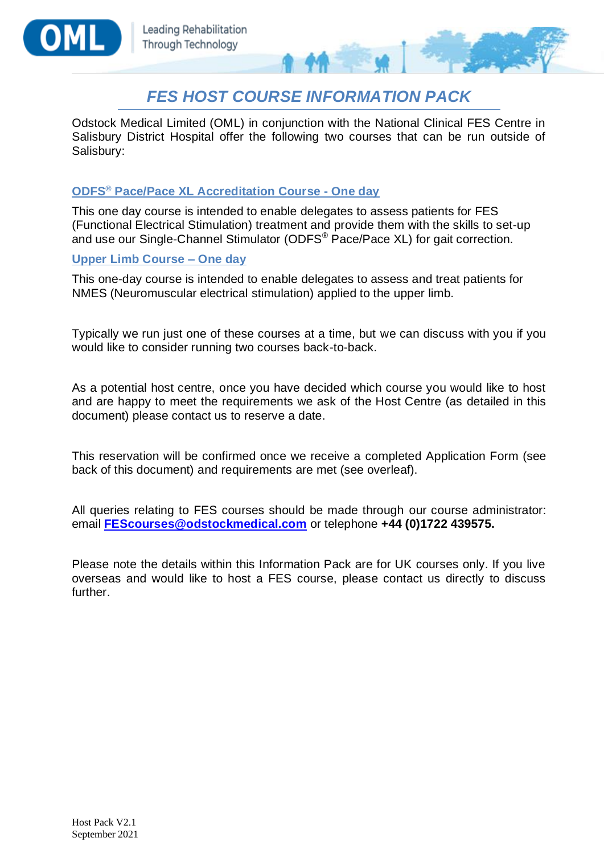



Odstock Medical Limited (OML) in conjunction with the National Clinical FES Centre in Salisbury District Hospital offer the following two courses that can be run outside of Salisbury:

#### **ODFS® Pace/Pace XL Accreditation Course - One day**

This one day course is intended to enable delegates to assess patients for FES (Functional Electrical Stimulation) treatment and provide them with the skills to set-up and use our Single-Channel Stimulator (ODFS® Pace/Pace XL) for gait correction.

#### **Upper Limb Course – One day**

This one-day course is intended to enable delegates to assess and treat patients for NMES (Neuromuscular electrical stimulation) applied to the upper limb.

Typically we run just one of these courses at a time, but we can discuss with you if you would like to consider running two courses back-to-back.

As a potential host centre, once you have decided which course you would like to host and are happy to meet the requirements we ask of the Host Centre (as detailed in this document) please contact us to reserve a date.

This reservation will be confirmed once we receive a completed Application Form (see back of this document) and requirements are met (see overleaf).

All queries relating to FES courses should be made through our course administrator: email **[FEScourses@odstockmedical.com](mailto:FEScourses@odstockmedical.com)** or telephone **+44 (0)1722 439575.**

Please note the details within this Information Pack are for UK courses only. If you live overseas and would like to host a FES course, please contact us directly to discuss further.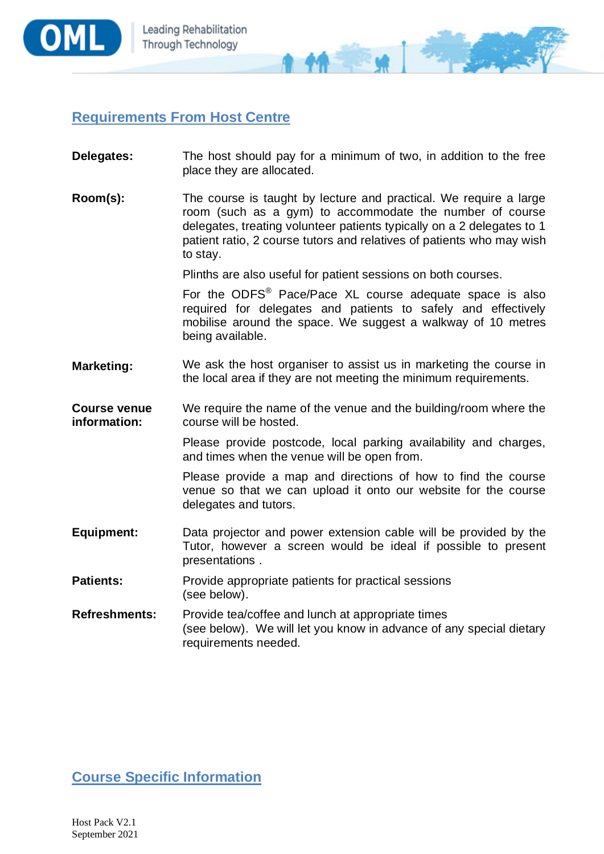

## **Requirements From Host Centre**

- **Delegates:** The host should pay for a minimum of two, in addition to the free place they are allocated.
- **Room(s):** The course is taught by lecture and practical. We require a large room (such as a gym) to accommodate the number of course delegates, treating volunteer patients typically on a 2 delegates to 1 patient ratio, 2 course tutors and relatives of patients who may wish to stay.

Plinths are also useful for patient sessions on both courses.

 $\blacklozenge$   $\blacklozenge$ 

For the ODFS® Pace/Pace XL course adequate space is also required for delegates and patients to safely and effectively mobilise around the space. We suggest a walkway of 10 metres being available.

**Marketing:** We ask the host organiser to assist us in marketing the course in the local area if they are not meeting the minimum requirements.

**Course venue information:** We require the name of the venue and the building/room where the course will be hosted.

> Please provide postcode, local parking availability and charges, and times when the venue will be open from.

> Please provide a map and directions of how to find the course venue so that we can upload it onto our website for the course delegates and tutors.

- **Equipment:** Data projector and power extension cable will be provided by the Tutor, however a screen would be ideal if possible to present presentations .
- **Patients:** Provide appropriate patients for practical sessions (see below).

**Refreshments:** Provide tea/coffee and lunch at appropriate times (see below). We will let you know in advance of any special dietary requirements needed.

**Course Specific Information**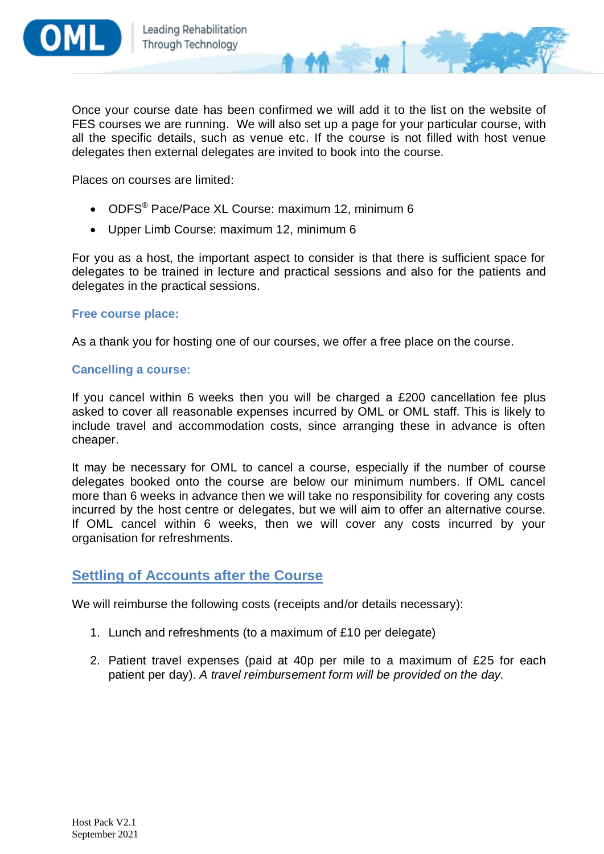

Once your course date has been confirmed we will add it to the list on the website of FES courses we are running. We will also set up a page for your particular course, with all the specific details, such as venue etc. If the course is not filled with host venue delegates then external delegates are invited to book into the course.

Places on courses are limited:

- ODFS<sup>®</sup> Pace/Pace XL Course: maximum 12, minimum 6
- Upper Limb Course: maximum 12, minimum 6

For you as a host, the important aspect to consider is that there is sufficient space for delegates to be trained in lecture and practical sessions and also for the patients and delegates in the practical sessions.

#### **Free course place:**

As a thank you for hosting one of our courses, we offer a free place on the course.

#### **Cancelling a course:**

If you cancel within 6 weeks then you will be charged a £200 cancellation fee plus asked to cover all reasonable expenses incurred by OML or OML staff. This is likely to include travel and accommodation costs, since arranging these in advance is often cheaper.

It may be necessary for OML to cancel a course, especially if the number of course delegates booked onto the course are below our minimum numbers. If OML cancel more than 6 weeks in advance then we will take no responsibility for covering any costs incurred by the host centre or delegates, but we will aim to offer an alternative course. If OML cancel within 6 weeks, then we will cover any costs incurred by your organisation for refreshments.

### **Settling of Accounts after the Course**

We will reimburse the following costs (receipts and/or details necessary):

- 1. Lunch and refreshments (to a maximum of £10 per delegate)
- 2. Patient travel expenses (paid at 40p per mile to a maximum of £25 for each patient per day). *A travel reimbursement form will be provided on the day.*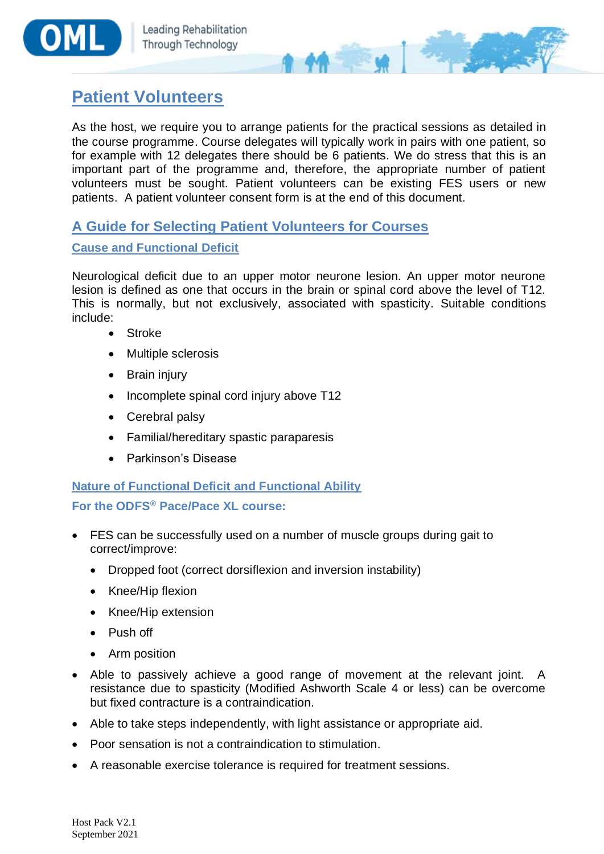



# **Patient Volunteers**

As the host, we require you to arrange patients for the practical sessions as detailed in the course programme. Course delegates will typically work in pairs with one patient, so for example with 12 delegates there should be 6 patients. We do stress that this is an important part of the programme and, therefore, the appropriate number of patient volunteers must be sought. Patient volunteers can be existing FES users or new patients. A patient volunteer consent form is at the end of this document.

## **A Guide for Selecting Patient Volunteers for Courses**

### **Cause and Functional Deficit**

Neurological deficit due to an upper motor neurone lesion. An upper motor neurone lesion is defined as one that occurs in the brain or spinal cord above the level of T12. This is normally, but not exclusively, associated with spasticity. Suitable conditions include:

- **Stroke**
- Multiple sclerosis
- Brain injury
- Incomplete spinal cord injury above T12
- Cerebral palsy
- Familial/hereditary spastic paraparesis
- Parkinson's Disease

## **Nature of Functional Deficit and Functional Ability**

### **For the ODFS® Pace/Pace XL course:**

- FES can be successfully used on a number of muscle groups during gait to correct/improve:
	- Dropped foot (correct dorsiflexion and inversion instability)
	- Knee/Hip flexion
	- Knee/Hip extension
	- Push off
	- Arm position
- Able to passively achieve a good range of movement at the relevant joint. A resistance due to spasticity (Modified Ashworth Scale 4 or less) can be overcome but fixed contracture is a contraindication.
- Able to take steps independently, with light assistance or appropriate aid.
- Poor sensation is not a contraindication to stimulation.
- A reasonable exercise tolerance is required for treatment sessions.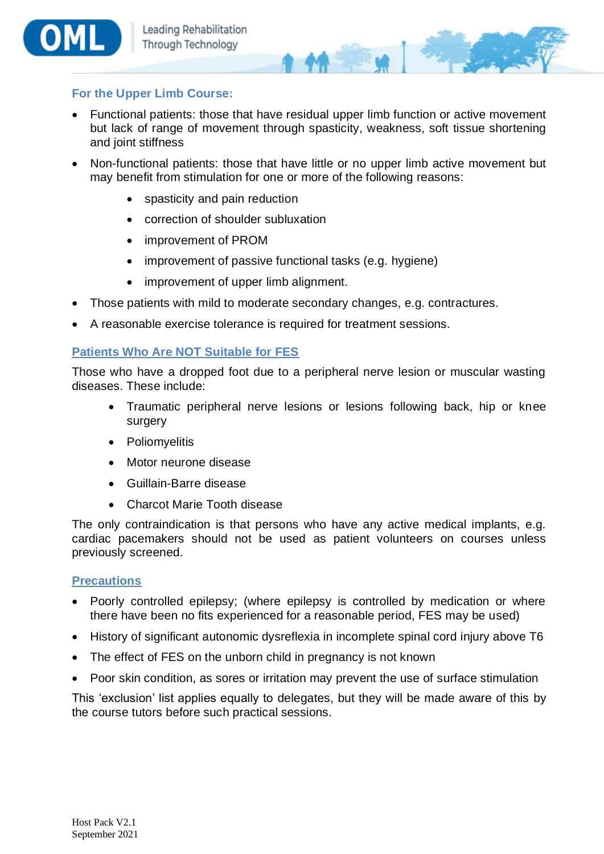

#### **For the Upper Limb Course:**

• Functional patients: those that have residual upper limb function or active movement but lack of range of movement through spasticity, weakness, soft tissue shortening and joint stiffness

 $M - M$ 

- Non-functional patients: those that have little or no upper limb active movement but may benefit from stimulation for one or more of the following reasons:
	- spasticity and pain reduction
	- correction of shoulder subluxation
	- improvement of PROM
	- improvement of passive functional tasks (e.g. hygiene)
	- improvement of upper limb alignment.
- Those patients with mild to moderate secondary changes, e.g. contractures.
- A reasonable exercise tolerance is required for treatment sessions.

#### **Patients Who Are NOT Suitable for FES**

Those who have a dropped foot due to a peripheral nerve lesion or muscular wasting diseases. These include:

- Traumatic peripheral nerve lesions or lesions following back, hip or knee surgery
- Poliomyelitis
- Motor neurone disease
- Guillain-Barre disease
- Charcot Marie Tooth disease

The only contraindication is that persons who have any active medical implants, e.g. cardiac pacemakers should not be used as patient volunteers on courses unless previously screened.

#### **Precautions**

- Poorly controlled epilepsy; (where epilepsy is controlled by medication or where there have been no fits experienced for a reasonable period, FES may be used)
- History of significant autonomic dysreflexia in incomplete spinal cord injury above T6
- The effect of FES on the unborn child in pregnancy is not known
- Poor skin condition, as sores or irritation may prevent the use of surface stimulation

This 'exclusion' list applies equally to delegates, but they will be made aware of this by the course tutors before such practical sessions.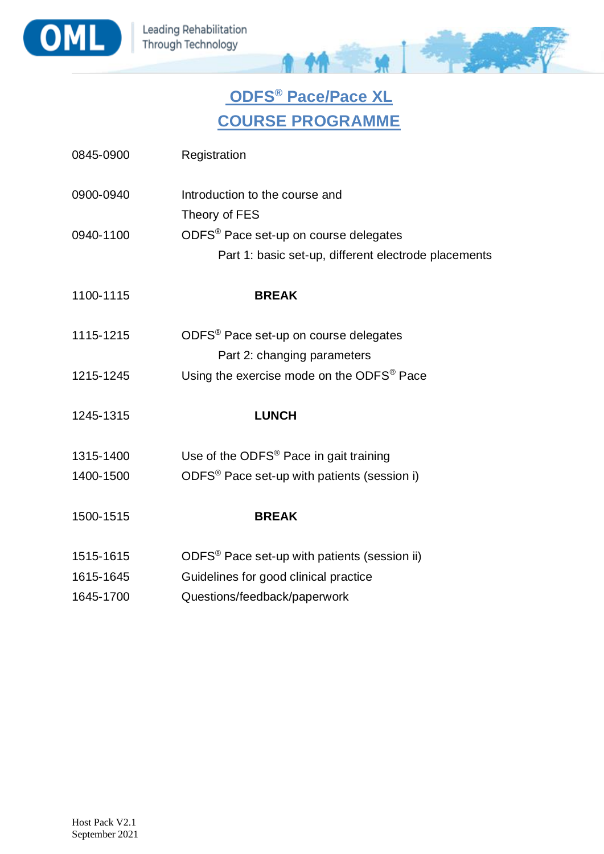



# **ODFS® Pace/Pace XL COURSE PROGRAMME**

| 0845-0900 | Registration                                             |
|-----------|----------------------------------------------------------|
| 0900-0940 | Introduction to the course and                           |
|           | Theory of FES                                            |
| 0940-1100 | ODFS® Pace set-up on course delegates                    |
|           | Part 1: basic set-up, different electrode placements     |
| 1100-1115 | <b>BREAK</b>                                             |
| 1115-1215 | ODFS <sup>®</sup> Pace set-up on course delegates        |
|           | Part 2: changing parameters                              |
| 1215-1245 | Using the exercise mode on the ODFS <sup>®</sup> Pace    |
| 1245-1315 | <b>LUNCH</b>                                             |
| 1315-1400 | Use of the ODFS <sup>®</sup> Pace in gait training       |
| 1400-1500 | ODFS <sup>®</sup> Pace set-up with patients (session i)  |
| 1500-1515 | <b>BREAK</b>                                             |
| 1515-1615 | ODFS <sup>®</sup> Pace set-up with patients (session ii) |
| 1615-1645 | Guidelines for good clinical practice                    |
| 1645-1700 | Questions/feedback/paperwork                             |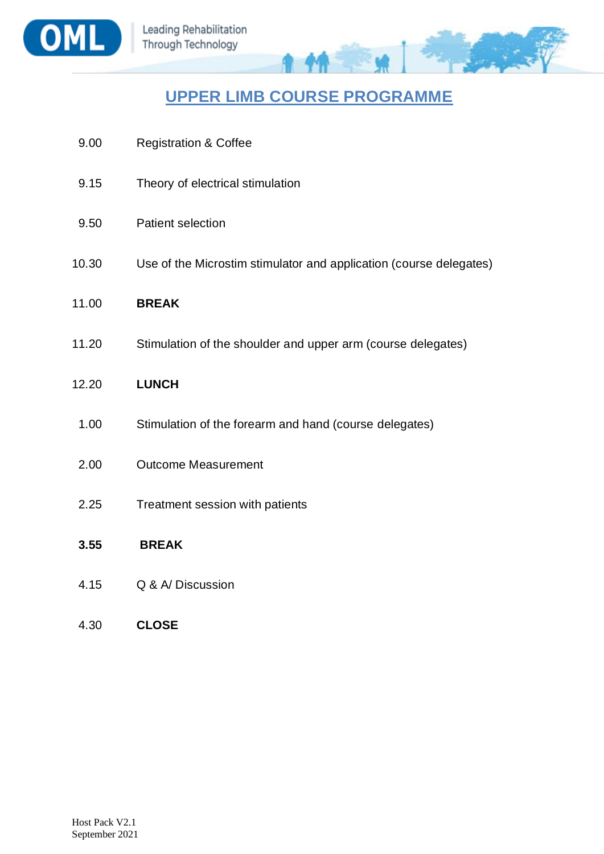

## **UPPER LIMB COURSE PROGRAMME**

**CALLES** 

| 9.00  | <b>Registration &amp; Coffee</b>                                   |
|-------|--------------------------------------------------------------------|
| 9.15  | Theory of electrical stimulation                                   |
| 9.50  | <b>Patient selection</b>                                           |
| 10.30 | Use of the Microstim stimulator and application (course delegates) |
| 11.00 | <b>BREAK</b>                                                       |
| 11.20 | Stimulation of the shoulder and upper arm (course delegates)       |
| 12.20 | <b>LUNCH</b>                                                       |
| 1.00  | Stimulation of the forearm and hand (course delegates)             |
| 2.00  | <b>Outcome Measurement</b>                                         |
| 2.25  | Treatment session with patients                                    |
| 3.55  | <b>BREAK</b>                                                       |

- 
- 4.15 Q & A/ Discussion
- 4.30 **CLOSE**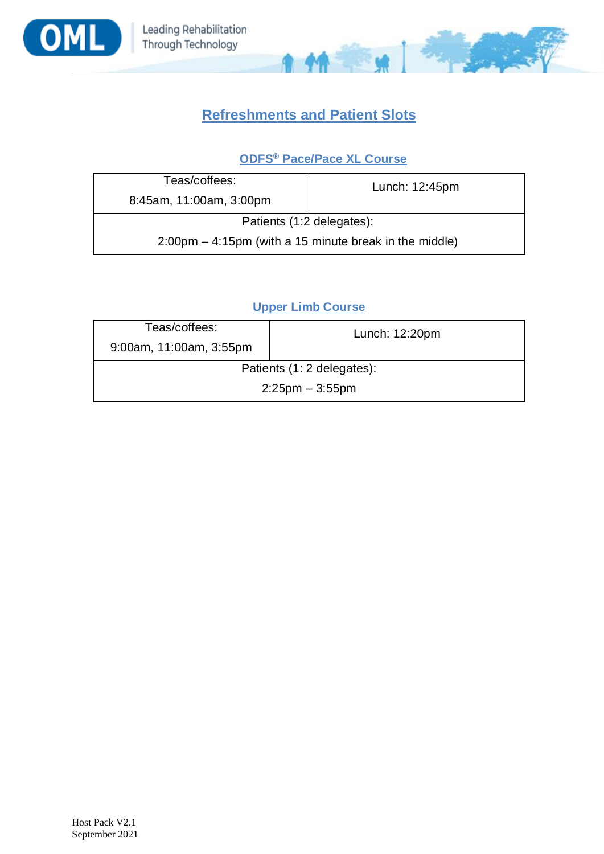



## **Refreshments and Patient Slots**

## **ODFS® Pace/Pace XL Course**

| Teas/coffees:                                                            | Lunch: 12:45pm |  |
|--------------------------------------------------------------------------|----------------|--|
| 8:45am, 11:00am, 3:00pm                                                  |                |  |
| Patients (1:2 delegates):                                                |                |  |
| $2:00 \text{pm} - 4:15 \text{pm}$ (with a 15 minute break in the middle) |                |  |

## **Upper Limb Course**

| Teas/coffees:              | Lunch: 12:20pm |  |
|----------------------------|----------------|--|
| 9:00am, 11:00am, 3:55pm    |                |  |
| Patients (1: 2 delegates): |                |  |
| $2:25$ pm $-3:55$ pm       |                |  |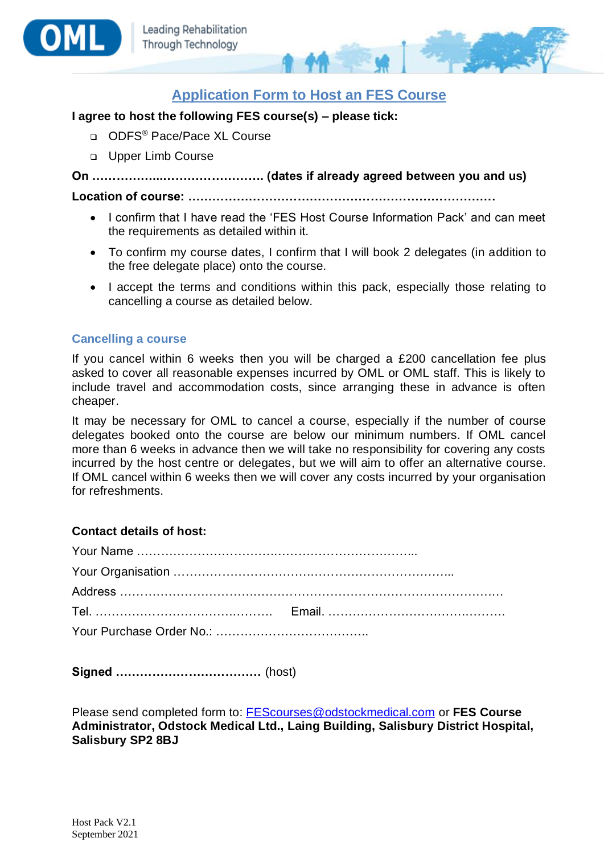



#### **I agree to host the following FES course(s) – please tick:**

- ❑ ODFS® Pace/Pace XL Course
- ❑ Upper Limb Course

**On ……………...……………………. (dates if already agreed between you and us)**

**Location of course: ………………………………………………………………….**

- I confirm that I have read the 'FES Host Course Information Pack' and can meet the requirements as detailed within it.
- To confirm my course dates, I confirm that I will book 2 delegates (in addition to the free delegate place) onto the course.
- I accept the terms and conditions within this pack, especially those relating to cancelling a course as detailed below.

#### **Cancelling a course**

If you cancel within 6 weeks then you will be charged a £200 cancellation fee plus asked to cover all reasonable expenses incurred by OML or OML staff. This is likely to include travel and accommodation costs, since arranging these in advance is often cheaper.

It may be necessary for OML to cancel a course, especially if the number of course delegates booked onto the course are below our minimum numbers. If OML cancel more than 6 weeks in advance then we will take no responsibility for covering any costs incurred by the host centre or delegates, but we will aim to offer an alternative course. If OML cancel within 6 weeks then we will cover any costs incurred by your organisation for refreshments.

#### **Contact details of host:**

**Signed ………………………………** (host)

Please send completed form to: [FEScourses@odstockmedical.com](mailto:FEScourses@odstockmedical.com) or **FES Course Administrator, Odstock Medical Ltd., Laing Building, Salisbury District Hospital, Salisbury SP2 8BJ**